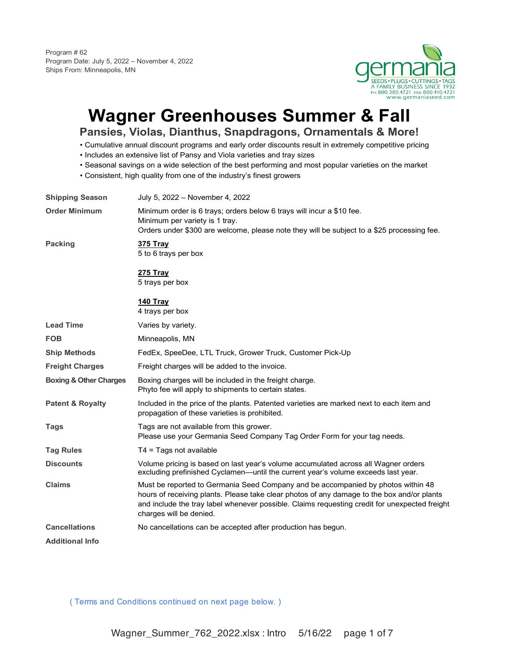Program # 62 Program Date: July 5, 2022 – November 4, 2022 Ships From: Minneapolis, MN



# **Wagner Greenhouses Summer & Fall**

**Pansies, Violas, Dianthus, Snapdragons, Ornamentals & More!**

- Cumulative annual discount programs and early order discounts result in extremely competitive pricing
- Includes an extensive list of Pansy and Viola varieties and tray sizes
- Seasonal savings on a wide selection of the best performing and most popular varieties on the market
- Consistent, high quality from one of the industry's finest growers

| <b>Shipping Season</b>            | July 5, 2022 - November 4, 2022                                                                                                                                                                                                                                                                            |
|-----------------------------------|------------------------------------------------------------------------------------------------------------------------------------------------------------------------------------------------------------------------------------------------------------------------------------------------------------|
| <b>Order Minimum</b>              | Minimum order is 6 trays; orders below 6 trays will incur a \$10 fee.<br>Minimum per variety is 1 tray.<br>Orders under \$300 are welcome, please note they will be subject to a \$25 processing fee.                                                                                                      |
| <b>Packing</b>                    | <b>375 Tray</b><br>5 to 6 trays per box                                                                                                                                                                                                                                                                    |
|                                   | <b>275 Tray</b><br>5 trays per box                                                                                                                                                                                                                                                                         |
|                                   | 140 Tray<br>4 trays per box                                                                                                                                                                                                                                                                                |
| <b>Lead Time</b>                  | Varies by variety.                                                                                                                                                                                                                                                                                         |
| <b>FOB</b>                        | Minneapolis, MN                                                                                                                                                                                                                                                                                            |
| <b>Ship Methods</b>               | FedEx, SpeeDee, LTL Truck, Grower Truck, Customer Pick-Up                                                                                                                                                                                                                                                  |
| <b>Freight Charges</b>            | Freight charges will be added to the invoice.                                                                                                                                                                                                                                                              |
| <b>Boxing &amp; Other Charges</b> | Boxing charges will be included in the freight charge.<br>Phyto fee will apply to shipments to certain states.                                                                                                                                                                                             |
| <b>Patent &amp; Royalty</b>       | Included in the price of the plants. Patented varieties are marked next to each item and<br>propagation of these varieties is prohibited.                                                                                                                                                                  |
| <b>Tags</b>                       | Tags are not available from this grower.<br>Please use your Germania Seed Company Tag Order Form for your tag needs.                                                                                                                                                                                       |
| <b>Tag Rules</b>                  | $T4 = Tags not available$                                                                                                                                                                                                                                                                                  |
| <b>Discounts</b>                  | Volume pricing is based on last year's volume accumulated across all Wagner orders<br>excluding prefinished Cyclamen—until the current year's volume exceeds last year.                                                                                                                                    |
| <b>Claims</b>                     | Must be reported to Germania Seed Company and be accompanied by photos within 48<br>hours of receiving plants. Please take clear photos of any damage to the box and/or plants<br>and include the tray label whenever possible. Claims requesting credit for unexpected freight<br>charges will be denied. |
| <b>Cancellations</b>              | No cancellations can be accepted after production has begun.                                                                                                                                                                                                                                               |
| <b>Additional Info</b>            |                                                                                                                                                                                                                                                                                                            |
|                                   |                                                                                                                                                                                                                                                                                                            |

( Terms and Conditions continued on next page below. )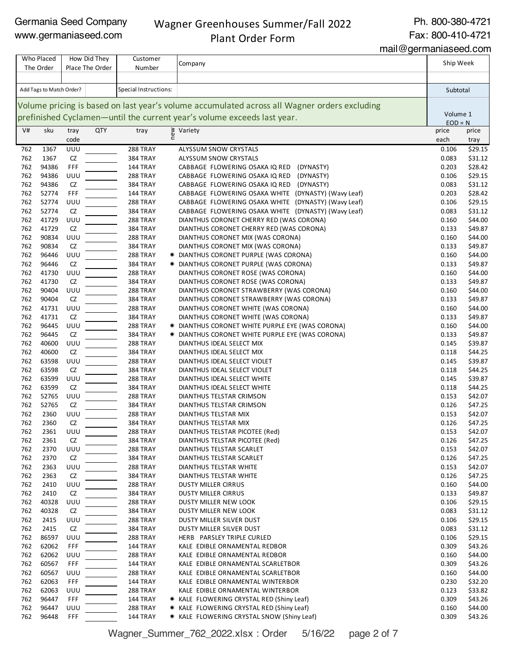#### Wagner Greenhouses Summer/Fall 2022 Plant Order Form

Ph. 800-380-4721

Fax: 800-410-4721

|            |                          |            |                                 |                             | mail@germaniaseed.com                                                                                      |                    |                    |
|------------|--------------------------|------------|---------------------------------|-----------------------------|------------------------------------------------------------------------------------------------------------|--------------------|--------------------|
|            | Who Placed<br>The Order  |            | How Did They<br>Place The Order | Customer<br>Number          | Company                                                                                                    | Ship Week          |                    |
|            |                          |            |                                 |                             |                                                                                                            |                    |                    |
|            | Add Tags to Match Order? |            |                                 | Special Instructions:       |                                                                                                            | Subtotal           |                    |
|            |                          |            |                                 |                             | Volume pricing is based on last year's volume accumulated across all Wagner orders excluding               |                    |                    |
|            |                          |            |                                 |                             | prefinished Cyclamen—until the current year's volume exceeds last year.                                    | Volume 1           |                    |
| V#         | sku                      | tray       | <b>QTY</b>                      | tray                        | ≥ Variety<br>E                                                                                             | $EOD = N$<br>price | price              |
|            |                          | code       |                                 |                             |                                                                                                            | each               | tray               |
| 762        | 1367                     | UUU        |                                 | 288 TRAY                    | ALYSSUM SNOW CRYSTALS                                                                                      | 0.106              | \$29.15            |
| 762        | 1367                     | CZ         |                                 | 384 TRAY                    | <b>ALYSSUM SNOW CRYSTALS</b>                                                                               | 0.083              | \$31.12            |
| 762        | 94386                    | FFF        |                                 | 144 TRAY                    | CABBAGE FLOWERING OSAKA IQ RED<br>(DYNASTY)                                                                | 0.203              | \$28.42            |
| 762        | 94386                    | UUU        |                                 | 288 TRAY                    | CABBAGE FLOWERING OSAKA IQ RED (DYNASTY)                                                                   | 0.106              | \$29.15            |
| 762<br>762 | 94386<br>52774           | CZ<br>FFF  |                                 | 384 TRAY<br>144 TRAY        | CABBAGE FLOWERING OSAKA IQ RED (DYNASTY)                                                                   | 0.083<br>0.203     | \$31.12<br>\$28.42 |
| 762        | 52774                    | UUU        |                                 |                             | CABBAGE FLOWERING OSAKA WHITE (DYNASTY) (Wavy Leaf)                                                        | 0.106              | \$29.15            |
| 762        | 52774                    | CZ         |                                 | 288 TRAY<br>384 TRAY        | CABBAGE FLOWERING OSAKA WHITE (DYNASTY) (Wavy Leaf)<br>CABBAGE FLOWERING OSAKA WHITE (DYNASTY) (Wavy Leaf) | 0.083              | \$31.12            |
| 762        | 41729                    | UUU        |                                 | 288 TRAY                    | DIANTHUS CORONET CHERRY RED (WAS CORONA)                                                                   | 0.160              | \$44.00            |
| 762        | 41729                    | CZ         |                                 | 384 TRAY                    | DIANTHUS CORONET CHERRY RED (WAS CORONA)                                                                   | 0.133              | \$49.87            |
| 762        | 90834                    | UUU        |                                 | 288 TRAY                    | DIANTHUS CORONET MIX (WAS CORONA)                                                                          | 0.160              | \$44.00            |
| 762        | 90834                    | CZ         |                                 | 384 TRAY                    | DIANTHUS CORONET MIX (WAS CORONA)                                                                          | 0.133              | \$49.87            |
| 762        | 96446                    | UUU        |                                 | 288 TRAY                    | * DIANTHUS CORONET PURPLE (WAS CORONA)                                                                     | 0.160              | \$44.00            |
| 762        | 96446                    | CZ         |                                 | <b>384 TRAY</b>             | * DIANTHUS CORONET PURPLE (WAS CORONA)                                                                     | 0.133              | \$49.87            |
| 762        | 41730                    | UUU        |                                 | 288 TRAY                    | DIANTHUS CORONET ROSE (WAS CORONA)                                                                         | 0.160              | \$44.00            |
| 762        | 41730                    | CZ         |                                 | <b>384 TRAY</b>             | DIANTHUS CORONET ROSE (WAS CORONA)                                                                         | 0.133              | \$49.87            |
| 762        | 90404                    | UUU        |                                 | 288 TRAY                    | DIANTHUS CORONET STRAWBERRY (WAS CORONA)                                                                   | 0.160              | \$44.00            |
| 762        | 90404                    | CZ         |                                 | <b>384 TRAY</b>             | DIANTHUS CORONET STRAWBERRY (WAS CORONA)                                                                   | 0.133              | \$49.87            |
| 762        | 41731                    | UUU        |                                 | 288 TRAY                    | DIANTHUS CORONET WHITE (WAS CORONA)                                                                        | 0.160              | \$44.00            |
| 762        | 41731                    | CZ         |                                 | 384 TRAY                    | DIANTHUS CORONET WHITE (WAS CORONA)                                                                        | 0.133              | \$49.87            |
| 762        | 96445                    | UUU        |                                 | 288 TRAY                    | * DIANTHUS CORONET WHITE PURPLE EYE (WAS CORONA)                                                           | 0.160              | \$44.00            |
| 762        | 96445                    | CZ         |                                 | 384 TRAY                    | * DIANTHUS CORONET WHITE PURPLE EYE (WAS CORONA)                                                           | 0.133              | \$49.87            |
| 762        | 40600                    | UUU        |                                 | 288 TRAY                    | DIANTHUS IDEAL SELECT MIX                                                                                  | 0.145              | \$39.87            |
| 762        | 40600                    | CZ         |                                 | 384 TRAY                    | DIANTHUS IDEAL SELECT MIX                                                                                  | 0.118              | \$44.25            |
| 762        | 63598                    | UUU        |                                 | 288 TRAY                    | DIANTHUS IDEAL SELECT VIOLET                                                                               | 0.145              | \$39.87            |
| 762        | 63598                    | CZ         |                                 | <b>384 TRAY</b>             | DIANTHUS IDEAL SELECT VIOLET                                                                               | 0.118              | \$44.25            |
| 762        | 63599                    | UUU        |                                 | 288 TRAY                    | DIANTHUS IDEAL SELECT WHITE                                                                                | 0.145              | \$39.87            |
| 762        | 63599                    | CZ         |                                 | <b>384 TRAY</b>             | DIANTHUS IDEAL SELECT WHITE                                                                                | 0.118              | \$44.25            |
| 762        | 52765                    | UUU        |                                 | 288 TRAY                    | DIANTHUS TELSTAR CRIMSON                                                                                   | 0.153              | \$42.07            |
| 762        | 52765                    | CZ         |                                 | <b>384 TRAY</b>             | DIANTHUS TELSTAR CRIMSON                                                                                   | 0.126              | \$47.25            |
| 762        | 2360                     | UUU        |                                 | 288 TRAY                    | DIANTHUS TELSTAR MIX                                                                                       | 0.153              | \$42.07            |
| 762        | 2360                     | CZ         |                                 | 384 TRAY                    | DIANTHUS TELSTAR MIX                                                                                       | 0.126              | \$47.25            |
| 762        | 2361                     | UUU        |                                 | 288 TRAY                    | DIANTHUS TELSTAR PICOTEE (Red)                                                                             | 0.153              | \$42.07            |
| 762        | 2361                     | CZ         |                                 | 384 TRAY                    | DIANTHUS TELSTAR PICOTEE (Red)                                                                             | 0.126              | \$47.25            |
| 762        | 2370                     | UUU        |                                 | 288 TRAY                    | DIANTHUS TELSTAR SCARLET                                                                                   | 0.153              | \$42.07            |
| 762        | 2370                     | CZ         |                                 | 384 TRAY                    | DIANTHUS TELSTAR SCARLET                                                                                   | 0.126              | \$47.25            |
| 762        | 2363                     | UUU        |                                 | 288 TRAY                    | DIANTHUS TELSTAR WHITE                                                                                     | 0.153              | \$42.07            |
| 762        | 2363                     | CZ         |                                 | <b>384 TRAY</b>             | DIANTHUS TELSTAR WHITE                                                                                     | 0.126              | \$47.25            |
| 762<br>762 | 2410<br>2410             | UUU<br>CZ  |                                 | 288 TRAY                    | DUSTY MILLER CIRRUS<br><b>DUSTY MILLER CIRRUS</b>                                                          | 0.160              | \$44.00            |
| 762        | 40328                    | UUU        |                                 | <b>384 TRAY</b><br>288 TRAY | DUSTY MILLER NEW LOOK                                                                                      | 0.133<br>0.106     | \$49.87<br>\$29.15 |
| 762        | 40328                    | CZ         |                                 | 384 TRAY                    | DUSTY MILLER NEW LOOK                                                                                      | 0.083              | \$31.12            |
| 762        | 2415                     | UUU        |                                 | 288 TRAY                    | DUSTY MILLER SILVER DUST                                                                                   | 0.106              | \$29.15            |
| 762        | 2415                     | CZ         |                                 | <b>384 TRAY</b>             | DUSTY MILLER SILVER DUST                                                                                   | 0.083              | \$31.12            |
| 762        | 86597                    | UUU        |                                 | 288 TRAY                    | HERB PARSLEY TRIPLE CURLED                                                                                 | 0.106              | \$29.15            |
| 762        | 62062                    | <b>FFF</b> |                                 | <b>144 TRAY</b>             | KALE EDIBLE ORNAMENTAL REDBOR                                                                              | 0.309              | \$43.26            |
| 762        | 62062                    | UUU        |                                 | 288 TRAY                    | KALE EDIBLE ORNAMENTAL REDBOR                                                                              | 0.160              | \$44.00            |
| 762        | 60567                    | FFF        |                                 | 144 TRAY                    | KALE EDIBLE ORNAMENTAL SCARLETBOR                                                                          | 0.309              | \$43.26            |
| 762        | 60567                    | UUU        |                                 | 288 TRAY                    | KALE EDIBLE ORNAMENTAL SCARLETBOR                                                                          | 0.160              | \$44.00            |
| 762        | 62063                    | FFF        |                                 | <b>144 TRAY</b>             | KALE EDIBLE ORNAMENTAL WINTERBOR                                                                           | 0.230              | \$32.20            |
| 762        | 62063                    | UUU        |                                 | 288 TRAY                    | KALE EDIBLE ORNAMENTAL WINTERBOR                                                                           | 0.123              | \$33.82            |
| 762        | 96447                    | FFF        |                                 | 144 TRAY                    | * KALE FLOWERING CRYSTAL RED (Shiny Leaf)                                                                  | 0.309              | \$43.26            |
| 762        | 96447                    | UUU        |                                 | 288 TRAY                    | * KALE FLOWERING CRYSTAL RED (Shiny Leaf)                                                                  | 0.160              | \$44.00            |
| 762        | 96448                    | FFF        |                                 | <b>144 TRAY</b>             | * KALE FLOWERING CRYSTAL SNOW (Shiny Leaf)                                                                 | 0.309              | \$43.26            |
|            |                          |            |                                 |                             |                                                                                                            |                    |                    |

Wagner\_Summer\_762\_2022.xlsx : Order 5/16/22 page 2 of 7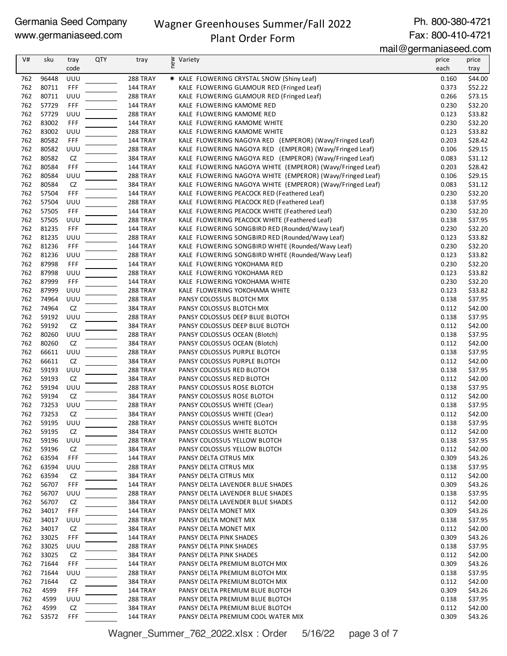#### Wagner Greenhouses Summer/Fall 2022

Ph. 800-380-4721 Fax: 800-410-4721

### Plant Order Form

mail@germaniaseed.com

| V#         | sku            | tray       | <b>QTY</b> | tray                 | Variety                                                                                | price          | price              |
|------------|----------------|------------|------------|----------------------|----------------------------------------------------------------------------------------|----------------|--------------------|
|            |                | code       |            |                      | new                                                                                    | each           | tray               |
|            |                |            |            |                      |                                                                                        |                |                    |
| 762        | 96448          | UUU        |            | 288 TRAY             | * KALE FLOWERING CRYSTAL SNOW (Shiny Leaf)                                             | 0.160          | \$44.00            |
| 762<br>762 | 80711<br>80711 | FFF<br>UUU |            | 144 TRAY<br>288 TRAY | KALE FLOWERING GLAMOUR RED (Fringed Leaf)<br>KALE FLOWERING GLAMOUR RED (Fringed Leaf) | 0.373<br>0.266 | \$52.22<br>\$73.15 |
| 762        | 57729          | FFF        |            | <b>144 TRAY</b>      | KALE FLOWERING KAMOME RED                                                              | 0.230          | \$32.20            |
| 762        | 57729          | UUU        |            | 288 TRAY             | KALE FLOWERING KAMOME RED                                                              | 0.123          | \$33.82            |
| 762        | 83002          | FFF        |            | <b>144 TRAY</b>      | KALE FLOWERING KAMOME WHITE                                                            | 0.230          | \$32.20            |
| 762        | 83002          | UUU        |            | 288 TRAY             | KALE FLOWERING KAMOME WHITE                                                            | 0.123          | \$33.82            |
| 762        | 80582          | FFF        |            | 144 TRAY             | KALE FLOWERING NAGOYA RED (EMPEROR) (Wavy/Fringed Leaf)                                | 0.203          | \$28.42            |
| 762        | 80582          | UUU        |            | 288 TRAY             | KALE FLOWERING NAGOYA RED (EMPEROR) (Wavy/Fringed Leaf)                                | 0.106          | \$29.15            |
| 762        | 80582          | CZ         |            | <b>384 TRAY</b>      | KALE FLOWERING NAGOYA RED (EMPEROR) (Wavy/Fringed Leaf)                                | 0.083          | \$31.12            |
| 762        | 80584          | FFF        |            | 144 TRAY             | KALE FLOWERING NAGOYA WHITE (EMPEROR) (Wavy/Fringed Leaf)                              | 0.203          | \$28.42            |
| 762        | 80584          | UUU        |            | 288 TRAY             | KALE FLOWERING NAGOYA WHITE (EMPEROR) (Wavy/Fringed Leaf)                              | 0.106          | \$29.15            |
| 762        | 80584          | CZ         |            | <b>384 TRAY</b>      | KALE FLOWERING NAGOYA WHITE (EMPEROR) (Wavy/Fringed Leaf)                              | 0.083          | \$31.12            |
| 762        | 57504          | FFF        |            | <b>144 TRAY</b>      | KALE FLOWERING PEACOCK RED (Feathered Leaf)                                            | 0.230          | \$32.20            |
| 762        | 57504          | UUU        |            | 288 TRAY             | KALE FLOWERING PEACOCK RED (Feathered Leaf)                                            | 0.138          | \$37.95            |
| 762        | 57505          | FFF        |            | <b>144 TRAY</b>      | KALE FLOWERING PEACOCK WHITE (Feathered Leaf)                                          | 0.230          | \$32.20            |
| 762        | 57505          | UUU        |            | 288 TRAY             | KALE FLOWERING PEACOCK WHITE (Feathered Leaf)                                          | 0.138          | \$37.95            |
| 762        | 81235          | FFF        |            | 144 TRAY             | KALE FLOWERING SONGBIRD RED (Rounded/Wavy Leaf)                                        | 0.230          | \$32.20            |
| 762        | 81235          | UUU        |            | 288 TRAY             | KALE FLOWERING SONGBIRD RED (Rounded/Wavy Leaf)                                        | 0.123          | \$33.82            |
| 762        | 81236          | FFF        |            | 144 TRAY             | KALE FLOWERING SONGBIRD WHITE (Rounded/Wavy Leaf)                                      | 0.230          | \$32.20            |
| 762        | 81236          | UUU        |            | 288 TRAY             | KALE FLOWERING SONGBIRD WHITE (Rounded/Wavy Leaf)                                      | 0.123          | \$33.82            |
| 762        | 87998          | FFF        |            | 144 TRAY             | KALE FLOWERING YOKOHAMA RED                                                            | 0.230          | \$32.20            |
| 762        | 87998          | UUU        |            | 288 TRAY             | KALE FLOWERING YOKOHAMA RED                                                            | 0.123          | \$33.82            |
| 762        | 87999          | FFF        |            | <b>144 TRAY</b>      | KALE FLOWERING YOKOHAMA WHITE                                                          | 0.230          | \$32.20            |
| 762        | 87999          | UUU        |            | 288 TRAY             | KALE FLOWERING YOKOHAMA WHITE                                                          | 0.123          | \$33.82            |
| 762        | 74964          | UUU        |            | 288 TRAY             | PANSY COLOSSUS BLOTCH MIX                                                              | 0.138          | \$37.95            |
| 762        | 74964          | CZ         |            | <b>384 TRAY</b>      | PANSY COLOSSUS BLOTCH MIX                                                              | 0.112          | \$42.00            |
| 762        | 59192          | UUU        |            | <b>288 TRAY</b>      | PANSY COLOSSUS DEEP BLUE BLOTCH                                                        | 0.138          | \$37.95            |
| 762        | 59192          | CZ         |            | <b>384 TRAY</b>      | PANSY COLOSSUS DEEP BLUE BLOTCH                                                        | 0.112          | \$42.00            |
| 762        | 80260          | UUU        |            | 288 TRAY             | PANSY COLOSSUS OCEAN (Blotch)                                                          | 0.138          | \$37.95            |
| 762        | 80260          | CZ         |            | <b>384 TRAY</b>      | PANSY COLOSSUS OCEAN (Blotch)                                                          | 0.112          | \$42.00            |
| 762        | 66611          | UUU        |            | 288 TRAY             | PANSY COLOSSUS PURPLE BLOTCH                                                           | 0.138          | \$37.95            |
| 762        | 66611          | CZ         |            | <b>384 TRAY</b>      | PANSY COLOSSUS PURPLE BLOTCH                                                           | 0.112          | \$42.00            |
| 762        | 59193          | UUU        |            | 288 TRAY             | PANSY COLOSSUS RED BLOTCH                                                              | 0.138          | \$37.95            |
| 762        | 59193          | CZ         |            | <b>384 TRAY</b>      | PANSY COLOSSUS RED BLOTCH                                                              | 0.112          | \$42.00            |
| 762        | 59194          | UUU        |            | 288 TRAY             | PANSY COLOSSUS ROSE BLOTCH                                                             | 0.138          | \$37.95            |
| 762        | 59194          | <b>CZ</b>  |            | <b>384 TRAY</b>      | PANSY COLOSSUS ROSE BLOTCH                                                             | 0.112          | \$42.00            |
| 762        | 73253          | UUU        |            | 288 TRAY             | PANSY COLOSSUS WHITE (Clear)                                                           | 0.138          | \$37.95            |
| 762        | 73253          | CZ         |            | <b>384 TRAY</b>      | PANSY COLOSSUS WHITE (Clear)                                                           | 0.112          | \$42.00            |
| 762        | 59195          | UUU        |            | 288 TRAY             | PANSY COLOSSUS WHITE BLOTCH                                                            | 0.138          | \$37.95            |
| 762        | 59195          | CZ         |            | <b>384 TRAY</b>      | PANSY COLOSSUS WHITE BLOTCH                                                            | 0.112          | \$42.00            |
| 762        | 59196          | UUU        |            | 288 TRAY             | PANSY COLOSSUS YELLOW BLOTCH                                                           | 0.138          | \$37.95            |
| 762        | 59196          | CZ         |            | <b>384 TRAY</b>      | PANSY COLOSSUS YELLOW BLOTCH                                                           | 0.112          | \$42.00            |
| 762        | 63594          | FFF        |            | 144 TRAY             | PANSY DELTA CITRUS MIX                                                                 | 0.309          | \$43.26            |
| 762        | 63594          | UUU        |            | 288 TRAY             | PANSY DELTA CITRUS MIX                                                                 | 0.138          | \$37.95            |
| 762        | 63594          | CZ         |            | <b>384 TRAY</b>      | PANSY DELTA CITRUS MIX                                                                 | 0.112          | \$42.00            |
| 762        | 56707          | FFF        |            | <b>144 TRAY</b>      | PANSY DELTA LAVENDER BLUE SHADES                                                       | 0.309          | \$43.26            |
| 762        | 56707          | UUU        |            | <b>288 TRAY</b>      | PANSY DELTA LAVENDER BLUE SHADES                                                       | 0.138          | \$37.95            |
| 762        | 56707          | CZ         |            | 384 TRAY             | PANSY DELTA LAVENDER BLUE SHADES                                                       | 0.112          | \$42.00            |
| 762        | 34017          | FFF        |            | 144 TRAY             | PANSY DELTA MONET MIX                                                                  | 0.309          | \$43.26            |
| 762        | 34017          | UUU        |            | 288 TRAY             | PANSY DELTA MONET MIX                                                                  | 0.138          | \$37.95            |
| 762        | 34017          | CZ         |            | <b>384 TRAY</b>      | PANSY DELTA MONET MIX                                                                  | 0.112          | \$42.00            |
| 762        | 33025          | FFF        |            | 144 TRAY             | PANSY DELTA PINK SHADES                                                                | 0.309          | \$43.26            |
| 762        | 33025          | UUU        |            | 288 TRAY             | PANSY DELTA PINK SHADES                                                                | 0.138          | \$37.95            |
| 762        | 33025          | CZ         |            | <b>384 TRAY</b>      | PANSY DELTA PINK SHADES                                                                | 0.112          | \$42.00            |
| 762        | 71644          | FFF        |            | 144 TRAY             | PANSY DELTA PREMIUM BLOTCH MIX                                                         | 0.309          | \$43.26            |
| 762        | 71644          | UUU        |            | <b>288 TRAY</b>      | PANSY DELTA PREMIUM BLOTCH MIX                                                         | 0.138          | \$37.95            |
| 762        | 71644          | CZ         |            | <b>384 TRAY</b>      | PANSY DELTA PREMIUM BLOTCH MIX                                                         | 0.112          | \$42.00            |
| 762        | 4599           | FFF        |            | <b>144 TRAY</b>      | PANSY DELTA PREMIUM BLUE BLOTCH                                                        | 0.309          | \$43.26            |
| 762        | 4599           | UUU        |            | <b>288 TRAY</b>      | PANSY DELTA PREMIUM BLUE BLOTCH                                                        | 0.138          | \$37.95            |
| 762        | 4599           | CZ         |            | <b>384 TRAY</b>      | PANSY DELTA PREMIUM BLUE BLOTCH                                                        | 0.112          | \$42.00            |
| 762        | 53572          | FFF        |            | <b>144 TRAY</b>      | PANSY DELTA PREMIUM COOL WATER MIX                                                     | 0.309          | \$43.26            |

Wagner\_Summer\_762\_2022.xlsx : Order 5/16/22 page 3 of 7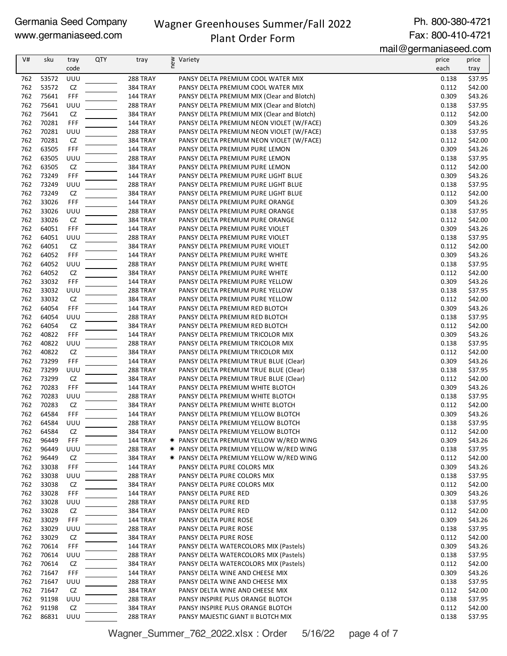## Wagner Greenhouses Summer/Fall 2022

#### Ph. 800-380-4721 Fax: 800-410-4721

## Plant Order Form

mail@germaniaseed.com

| V#         | sku            | tray             | <b>QTY</b> | tray                               | new<br>Variety                                                                 | price<br>each  | price              |
|------------|----------------|------------------|------------|------------------------------------|--------------------------------------------------------------------------------|----------------|--------------------|
|            | 53572          | code             |            | 288 TRAY                           |                                                                                |                | tray<br>\$37.95    |
| 762<br>762 | 53572          | UUU<br>CZ        |            | 384 TRAY                           | PANSY DELTA PREMIUM COOL WATER MIX<br>PANSY DELTA PREMIUM COOL WATER MIX       | 0.138<br>0.112 | \$42.00            |
| 762        | 75641          | FFF              |            | 144 TRAY                           | PANSY DELTA PREMIUM MIX (Clear and Blotch)                                     | 0.309          | \$43.26            |
| 762        | 75641          | UUU              |            | <b>288 TRAY</b>                    | PANSY DELTA PREMIUM MIX (Clear and Blotch)                                     | 0.138          | \$37.95            |
| 762        | 75641          | <b>CZ</b>        |            | 384 TRAY                           | PANSY DELTA PREMIUM MIX (Clear and Blotch)                                     | 0.112          | \$42.00            |
| 762        | 70281          | FFF              |            | 144 TRAY                           | PANSY DELTA PREMIUM NEON VIOLET (W/FACE)                                       | 0.309          | \$43.26            |
| 762        | 70281          | UUU              |            | <b>288 TRAY</b>                    | PANSY DELTA PREMIUM NEON VIOLET (W/FACE)                                       | 0.138          | \$37.95            |
| 762        | 70281          | CZ               |            | 384 TRAY                           | PANSY DELTA PREMIUM NEON VIOLET (W/FACE)                                       | 0.112          | \$42.00            |
| 762        | 63505          | FFF              |            | 144 TRAY                           | PANSY DELTA PREMIUM PURE LEMON                                                 | 0.309          | \$43.26            |
| 762        | 63505          | UUU              |            | <b>288 TRAY</b>                    | PANSY DELTA PREMIUM PURE LEMON                                                 | 0.138          | \$37.95            |
| 762        | 63505          | CZ               |            | 384 TRAY                           | PANSY DELTA PREMIUM PURE LEMON                                                 | 0.112          | \$42.00            |
| 762        | 73249          | FFF              |            | 144 TRAY                           | PANSY DELTA PREMIUM PURE LIGHT BLUE                                            | 0.309          | \$43.26            |
| 762<br>762 | 73249<br>73249 | UUU<br><b>CZ</b> |            | <b>288 TRAY</b>                    | PANSY DELTA PREMIUM PURE LIGHT BLUE                                            | 0.138<br>0.112 | \$37.95            |
| 762        | 33026          | FFF              |            | 384 TRAY<br>144 TRAY               | PANSY DELTA PREMIUM PURE LIGHT BLUE<br>PANSY DELTA PREMIUM PURE ORANGE         | 0.309          | \$42.00<br>\$43.26 |
| 762        | 33026          | UUU              |            | <b>288 TRAY</b>                    | PANSY DELTA PREMIUM PURE ORANGE                                                | 0.138          | \$37.95            |
| 762        | 33026          | CZ               |            | 384 TRAY                           | PANSY DELTA PREMIUM PURE ORANGE                                                | 0.112          | \$42.00            |
| 762        | 64051          | FFF              |            | 144 TRAY                           | PANSY DELTA PREMIUM PURE VIOLET                                                | 0.309          | \$43.26            |
| 762        | 64051          | UUU              |            | 288 TRAY                           | PANSY DELTA PREMIUM PURE VIOLET                                                | 0.138          | \$37.95            |
| 762        | 64051          | ${\sf CZ}$       |            | 384 TRAY                           | PANSY DELTA PREMIUM PURE VIOLET                                                | 0.112          | \$42.00            |
| 762        | 64052          | FFF              |            | 144 TRAY                           | PANSY DELTA PREMIUM PURE WHITE                                                 | 0.309          | \$43.26            |
| 762        | 64052          | UUU              |            | <b>288 TRAY</b>                    | PANSY DELTA PREMIUM PURE WHITE                                                 | 0.138          | \$37.95            |
| 762        | 64052          | <b>CZ</b>        |            | <b>384 TRAY</b>                    | PANSY DELTA PREMIUM PURE WHITE                                                 | 0.112          | \$42.00            |
| 762        | 33032          | FFF              |            | 144 TRAY                           | PANSY DELTA PREMIUM PURE YELLOW                                                | 0.309          | \$43.26            |
| 762        | 33032          | UUU              |            | <b>288 TRAY</b>                    | PANSY DELTA PREMIUM PURE YELLOW                                                | 0.138          | \$37.95            |
| 762        | 33032          | CZ               |            | 384 TRAY                           | PANSY DELTA PREMIUM PURE YELLOW                                                | 0.112          | \$42.00            |
| 762        | 64054          | FFF              |            | 144 TRAY                           | PANSY DELTA PREMIUM RED BLOTCH                                                 | 0.309          | \$43.26            |
| 762        | 64054          | UUU              |            | 288 TRAY                           | PANSY DELTA PREMIUM RED BLOTCH                                                 | 0.138          | \$37.95            |
| 762        | 64054          | CZ               |            | 384 TRAY                           | PANSY DELTA PREMIUM RED BLOTCH                                                 | 0.112          | \$42.00            |
| 762        | 40822          | FFF              |            | 144 TRAY                           | PANSY DELTA PREMIUM TRICOLOR MIX                                               | 0.309          | \$43.26            |
| 762        | 40822          | UUU              |            | <b>288 TRAY</b>                    | PANSY DELTA PREMIUM TRICOLOR MIX                                               | 0.138          | \$37.95            |
| 762        | 40822          | <b>CZ</b>        |            | <b>384 TRAY</b>                    | PANSY DELTA PREMIUM TRICOLOR MIX                                               | 0.112          | \$42.00            |
| 762        | 73299          | FFF              |            | 144 TRAY                           | PANSY DELTA PREMIUM TRUE BLUE (Clear)                                          | 0.309          | \$43.26            |
| 762        | 73299          | UUU              |            | <b>288 TRAY</b>                    | PANSY DELTA PREMIUM TRUE BLUE (Clear)                                          | 0.138          | \$37.95            |
| 762<br>762 | 73299<br>70283 | CZ<br>FFF        |            | 384 TRAY<br>144 TRAY               | PANSY DELTA PREMIUM TRUE BLUE (Clear)<br>PANSY DELTA PREMIUM WHITE BLOTCH      | 0.112<br>0.309 | \$42.00<br>\$43.26 |
| 762        | 70283          | UUU              |            | 288 TRAY                           | PANSY DELTA PREMIUM WHITE BLOTCH                                               | 0.138          | \$37.95            |
| 762        | 70283          | CZ               |            | 384 TRAY                           | PANSY DELTA PREMIUM WHITE BLOTCH                                               | 0.112          | \$42.00            |
| 762        | 64584          | FFF              |            | 144 TRAY                           | PANSY DELTA PREMIUM YELLOW BLOTCH                                              | 0.309          | \$43.26            |
| 762        | 64584          | UUU              |            | 288 TRAY                           | PANSY DELTA PREMIUM YELLOW BLOTCH                                              | 0.138          | \$37.95            |
| 762        | 64584          | CZ               |            | 384 TRAY                           | PANSY DELTA PREMIUM YELLOW BLOTCH                                              | 0.112          | \$42.00            |
| 762        | 96449          | FFF              |            | <b>144 TRAY</b>                    | * PANSY DELTA PREMIUM YELLOW W/RED WING                                        | 0.309          | \$43.26            |
| 762        | 96449          | UUU              |            | <b>288 TRAY</b>                    | <b>★ PANSY DELTA PREMIUM YELLOW W/RED WING</b>                                 | 0.138          | \$37.95            |
| 762        | 96449          | CZ               |            | 384 TRAY                           | <b>★ PANSY DELTA PREMIUM YELLOW W/RED WING</b>                                 | 0.112          | \$42.00            |
| 762        | 33038          | FFF              |            | <b>144 TRAY</b>                    | PANSY DELTA PURE COLORS MIX                                                    | 0.309          | \$43.26            |
| 762        | 33038          | UUU              |            | 288 TRAY                           | PANSY DELTA PURE COLORS MIX                                                    | 0.138          | \$37.95            |
| 762        | 33038          | CZ               |            | 384 TRAY                           | PANSY DELTA PURE COLORS MIX                                                    | 0.112          | \$42.00            |
| 762        | 33028          | FFF              |            | 144 TRAY                           | PANSY DELTA PURE RED                                                           | 0.309          | \$43.26            |
| 762        | 33028          | UUU              |            | 288 TRAY                           | PANSY DELTA PURE RED                                                           | 0.138          | \$37.95            |
| 762        | 33028          | CZ               |            | 384 TRAY                           | PANSY DELTA PURE RED                                                           | 0.112          | \$42.00            |
| 762        | 33029          | FFF              |            | 144 TRAY                           | PANSY DELTA PURE ROSE                                                          | 0.309          | \$43.26            |
| 762        | 33029          | UUU              |            | <b>288 TRAY</b>                    | PANSY DELTA PURE ROSE                                                          | 0.138          | \$37.95            |
| 762        | 33029          | CZ               |            | 384 TRAY                           | PANSY DELTA PURE ROSE                                                          | 0.112          | \$42.00            |
| 762        | 70614          | FFF              |            | 144 TRAY                           | PANSY DELTA WATERCOLORS MIX (Pastels)                                          | 0.309          | \$43.26            |
| 762        | 70614<br>70614 | UUU              |            | 288 TRAY                           | PANSY DELTA WATERCOLORS MIX (Pastels)<br>PANSY DELTA WATERCOLORS MIX (Pastels) | 0.138<br>0.112 | \$37.95            |
| 762        |                | CZ               |            | 384 TRAY                           |                                                                                |                | \$42.00            |
| 762<br>762 | 71647<br>71647 | FFF<br>UUU       |            | <b>144 TRAY</b><br><b>288 TRAY</b> | PANSY DELTA WINE AND CHEESE MIX<br>PANSY DELTA WINE AND CHEESE MIX             | 0.309<br>0.138 | \$43.26<br>\$37.95 |
| 762        | 71647          | CZ               |            | 384 TRAY                           | PANSY DELTA WINE AND CHEESE MIX                                                | 0.112          | \$42.00            |
| 762        | 91198          | UUU              |            | <b>288 TRAY</b>                    | PANSY INSPIRE PLUS ORANGE BLOTCH                                               | 0.138          | \$37.95            |
| 762        | 91198          | CZ               |            | <b>384 TRAY</b>                    | PANSY INSPIRE PLUS ORANGE BLOTCH                                               | 0.112          | \$42.00            |
| 762        | 86831          | UUU              |            | 288 TRAY                           | PANSY MAJESTIC GIANT II BLOTCH MIX                                             | 0.138          | \$37.95            |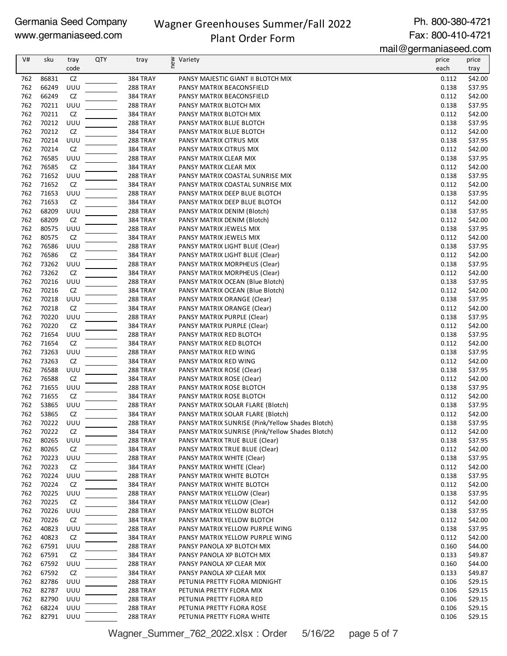## Wagner Greenhouses Summer/Fall 2022

Ph. 800-380-4721 Fax: 800-410-4721

## Plant Order Form

mail@germaniaseed.com

| V#  | sku   | tray | <b>QTY</b> | tray            | new<br>Variety                                   | price | price   |
|-----|-------|------|------------|-----------------|--------------------------------------------------|-------|---------|
|     |       | code |            |                 |                                                  | each  | tray    |
| 762 | 86831 | CZ   |            | 384 TRAY        | PANSY MAJESTIC GIANT II BLOTCH MIX               | 0.112 | \$42.00 |
| 762 | 66249 | UUU  |            | 288 TRAY        | PANSY MATRIX BEACONSFIELD                        | 0.138 | \$37.95 |
| 762 | 66249 | CZ   |            | 384 TRAY        | PANSY MATRIX BEACONSFIELD                        | 0.112 | \$42.00 |
| 762 | 70211 | UUU  |            | <b>288 TRAY</b> | PANSY MATRIX BLOTCH MIX                          | 0.138 | \$37.95 |
| 762 | 70211 | CZ   |            | 384 TRAY        | PANSY MATRIX BLOTCH MIX                          | 0.112 | \$42.00 |
| 762 | 70212 | UUU  |            | <b>288 TRAY</b> | PANSY MATRIX BLUE BLOTCH                         | 0.138 | \$37.95 |
| 762 |       | CZ   |            |                 |                                                  |       |         |
|     | 70212 |      |            | 384 TRAY        | PANSY MATRIX BLUE BLOTCH                         | 0.112 | \$42.00 |
| 762 | 70214 | UUU  |            | 288 TRAY        | PANSY MATRIX CITRUS MIX                          | 0.138 | \$37.95 |
| 762 | 70214 | CZ   |            | 384 TRAY        | PANSY MATRIX CITRUS MIX                          | 0.112 | \$42.00 |
| 762 | 76585 | UUU  |            | 288 TRAY        | PANSY MATRIX CLEAR MIX                           | 0.138 | \$37.95 |
| 762 | 76585 | CZ   |            | 384 TRAY        | PANSY MATRIX CLEAR MIX                           | 0.112 | \$42.00 |
| 762 | 71652 | UUU  |            | <b>288 TRAY</b> | PANSY MATRIX COASTAL SUNRISE MIX                 | 0.138 | \$37.95 |
| 762 | 71652 | CZ   |            | 384 TRAY        | PANSY MATRIX COASTAL SUNRISE MIX                 | 0.112 | \$42.00 |
| 762 | 71653 | UUU  |            | <b>288 TRAY</b> | PANSY MATRIX DEEP BLUE BLOTCH                    | 0.138 | \$37.95 |
| 762 | 71653 | CZ   |            | 384 TRAY        | PANSY MATRIX DEEP BLUE BLOTCH                    | 0.112 | \$42.00 |
| 762 | 68209 | UUU  |            | <b>288 TRAY</b> | PANSY MATRIX DENIM (Blotch)                      | 0.138 | \$37.95 |
| 762 | 68209 | CZ   |            | 384 TRAY        | PANSY MATRIX DENIM (Blotch)                      | 0.112 | \$42.00 |
| 762 | 80575 | UUU  |            | 288 TRAY        | PANSY MATRIX JEWELS MIX                          | 0.138 | \$37.95 |
| 762 | 80575 | CZ   |            | 384 TRAY        | PANSY MATRIX JEWELS MIX                          | 0.112 | \$42.00 |
| 762 | 76586 | UUU  |            | 288 TRAY        | PANSY MATRIX LIGHT BLUE (Clear)                  | 0.138 | \$37.95 |
| 762 | 76586 | CZ   |            | 384 TRAY        | PANSY MATRIX LIGHT BLUE (Clear)                  | 0.112 |         |
|     |       |      |            |                 |                                                  |       | \$42.00 |
| 762 | 73262 | UUU  |            | 288 TRAY        | PANSY MATRIX MORPHEUS (Clear)                    | 0.138 | \$37.95 |
| 762 | 73262 | CZ   |            | 384 TRAY        | PANSY MATRIX MORPHEUS (Clear)                    | 0.112 | \$42.00 |
| 762 | 70216 | UUU  |            | <b>288 TRAY</b> | PANSY MATRIX OCEAN (Blue Blotch)                 | 0.138 | \$37.95 |
| 762 | 70216 | CZ   |            | 384 TRAY        | PANSY MATRIX OCEAN (Blue Blotch)                 | 0.112 | \$42.00 |
| 762 | 70218 | UUU  |            | <b>288 TRAY</b> | PANSY MATRIX ORANGE (Clear)                      | 0.138 | \$37.95 |
| 762 | 70218 | CZ   |            | 384 TRAY        | PANSY MATRIX ORANGE (Clear)                      | 0.112 | \$42.00 |
| 762 | 70220 | UUU  |            | <b>288 TRAY</b> | PANSY MATRIX PURPLE (Clear)                      | 0.138 | \$37.95 |
| 762 | 70220 | CZ   |            | 384 TRAY        | PANSY MATRIX PURPLE (Clear)                      | 0.112 | \$42.00 |
| 762 | 71654 | UUU  |            | 288 TRAY        | PANSY MATRIX RED BLOTCH                          | 0.138 | \$37.95 |
| 762 | 71654 | CZ   |            | 384 TRAY        | PANSY MATRIX RED BLOTCH                          | 0.112 | \$42.00 |
| 762 | 73263 | UUU  |            | 288 TRAY        | PANSY MATRIX RED WING                            | 0.138 | \$37.95 |
| 762 | 73263 | CZ   |            | 384 TRAY        | PANSY MATRIX RED WING                            | 0.112 | \$42.00 |
| 762 | 76588 | UUU  |            | <b>288 TRAY</b> | PANSY MATRIX ROSE (Clear)                        | 0.138 | \$37.95 |
| 762 | 76588 | CZ   |            |                 |                                                  |       | \$42.00 |
|     |       |      |            | 384 TRAY        | PANSY MATRIX ROSE (Clear)                        | 0.112 |         |
| 762 | 71655 | UUU  |            | <b>288 TRAY</b> | PANSY MATRIX ROSE BLOTCH                         | 0.138 | \$37.95 |
| 762 | 71655 | CZ   |            | 384 TRAY        | PANSY MATRIX ROSE BLOTCH                         | 0.112 | \$42.00 |
| 762 | 53865 | UUU  |            | <b>288 TRAY</b> | PANSY MATRIX SOLAR FLARE (Blotch)                | 0.138 | \$37.95 |
| 762 | 53865 | CZ   |            | 384 TRAY        | PANSY MATRIX SOLAR FLARE (Blotch)                | 0.112 | \$42.00 |
| 762 | 70222 | UUU  |            | 288 TRAY        | PANSY MATRIX SUNRISE (Pink/Yellow Shades Blotch) | 0.138 | \$37.95 |
| 762 | 70222 | CZ   |            | 384 TRAY        | PANSY MATRIX SUNRISE (Pink/Yellow Shades Blotch) | 0.112 | \$42.00 |
| 762 | 80265 | UUU  |            | <b>288 TRAY</b> | PANSY MATRIX TRUE BLUE (Clear)                   | 0.138 | \$37.95 |
| 762 | 80265 | CZ   |            | 384 TRAY        | PANSY MATRIX TRUE BLUE (Clear)                   | 0.112 | \$42.00 |
| 762 | 70223 | UUU  |            | 288 TRAY        | PANSY MATRIX WHITE (Clear)                       | 0.138 | \$37.95 |
| 762 | 70223 | CZ   |            | 384 TRAY        | PANSY MATRIX WHITE (Clear)                       | 0.112 | \$42.00 |
| 762 | 70224 | UUU  |            | 288 TRAY        | PANSY MATRIX WHITE BLOTCH                        | 0.138 | \$37.95 |
| 762 | 70224 | CZ   |            | 384 TRAY        | PANSY MATRIX WHITE BLOTCH                        | 0.112 | \$42.00 |
| 762 | 70225 | UUU  |            | <b>288 TRAY</b> | PANSY MATRIX YELLOW (Clear)                      | 0.138 | \$37.95 |
| 762 | 70225 | CZ   |            | 384 TRAY        | PANSY MATRIX YELLOW (Clear)                      | 0.112 | \$42.00 |
| 762 | 70226 | UUU  |            | <b>288 TRAY</b> | PANSY MATRIX YELLOW BLOTCH                       | 0.138 | \$37.95 |
| 762 | 70226 | CZ   |            | 384 TRAY        | PANSY MATRIX YELLOW BLOTCH                       | 0.112 | \$42.00 |
| 762 | 40823 | UUU  |            |                 |                                                  | 0.138 | \$37.95 |
|     |       | CZ   |            | 288 TRAY        | PANSY MATRIX YELLOW PURPLE WING                  | 0.112 |         |
| 762 | 40823 |      |            | 384 TRAY        | PANSY MATRIX YELLOW PURPLE WING                  |       | \$42.00 |
| 762 | 67591 | UUU  |            | <b>288 TRAY</b> | PANSY PANOLA XP BLOTCH MIX                       | 0.160 | \$44.00 |
| 762 | 67591 | CZ   |            | 384 TRAY        | PANSY PANOLA XP BLOTCH MIX                       | 0.133 | \$49.87 |
| 762 | 67592 | UUU  |            | 288 TRAY        | PANSY PANOLA XP CLEAR MIX                        | 0.160 | \$44.00 |
| 762 | 67592 | CZ   |            | 384 TRAY        | PANSY PANOLA XP CLEAR MIX                        | 0.133 | \$49.87 |
| 762 | 82786 | UUU  |            | 288 TRAY        | PETUNIA PRETTY FLORA MIDNIGHT                    | 0.106 | \$29.15 |
| 762 | 82787 | UUU  |            | 288 TRAY        | PETUNIA PRETTY FLORA MIX                         | 0.106 | \$29.15 |
| 762 | 82790 | UUU  |            | 288 TRAY        | PETUNIA PRETTY FLORA RED                         | 0.106 | \$29.15 |
| 762 | 68224 | UUU  |            | <b>288 TRAY</b> | PETUNIA PRETTY FLORA ROSE                        | 0.106 | \$29.15 |
| 762 | 82791 | UUU  |            | <b>288 TRAY</b> | PETUNIA PRETTY FLORA WHITE                       | 0.106 | \$29.15 |

Wagner\_Summer\_762\_2022.xlsx : Order 5/16/22 page 5 of 7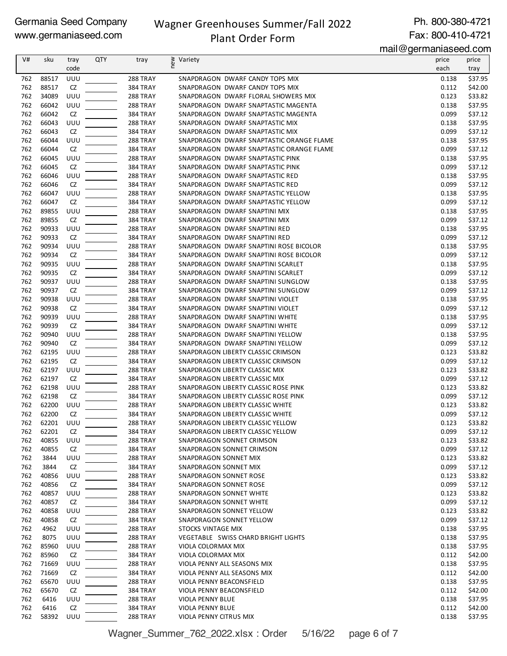### Wagner Greenhouses Summer/Fall 2022

Ph. 800-380-4721 Fax: 800-410-4721

## Plant Order Form

mail@germaniaseed.com

|     |       |      |            |                 |                               |                                          | $111$ un $\circ$ yo $111$ unan muovou.vo $11$ |         |
|-----|-------|------|------------|-----------------|-------------------------------|------------------------------------------|-----------------------------------------------|---------|
| V#  | sku   | tray | <b>QTY</b> | tray            | ≥ Variety<br>E                |                                          | price                                         | price   |
|     |       | code |            |                 |                               |                                          | each                                          | tray    |
| 762 | 88517 | UUU  |            | <b>288 TRAY</b> |                               | SNAPDRAGON DWARF CANDY TOPS MIX          | 0.138                                         | \$37.95 |
| 762 | 88517 | CZ   |            | <b>384 TRAY</b> |                               | SNAPDRAGON DWARF CANDY TOPS MIX          | 0.112                                         | \$42.00 |
| 762 | 34089 | UUU  |            | 288 TRAY        |                               | SNAPDRAGON DWARF FLORAL SHOWERS MIX      | 0.123                                         | \$33.82 |
| 762 | 66042 | UUU  |            | 288 TRAY        |                               | SNAPDRAGON DWARF SNAPTASTIC MAGENTA      | 0.138                                         | \$37.95 |
| 762 | 66042 | CZ   |            | 384 TRAY        |                               | SNAPDRAGON DWARF SNAPTASTIC MAGENTA      | 0.099                                         | \$37.12 |
| 762 | 66043 | UUU  |            |                 |                               |                                          |                                               | \$37.95 |
|     |       |      |            | <b>288 TRAY</b> |                               | SNAPDRAGON DWARF SNAPTASTIC MIX          | 0.138                                         |         |
| 762 | 66043 | CZ   |            | 384 TRAY        |                               | SNAPDRAGON DWARF SNAPTASTIC MIX          | 0.099                                         | \$37.12 |
| 762 | 66044 | UUU  |            | <b>288 TRAY</b> |                               | SNAPDRAGON DWARF SNAPTASTIC ORANGE FLAME | 0.138                                         | \$37.95 |
| 762 | 66044 | CZ   |            | 384 TRAY        |                               | SNAPDRAGON DWARF SNAPTASTIC ORANGE FLAME | 0.099                                         | \$37.12 |
| 762 | 66045 | UUU  |            | 288 TRAY        |                               | SNAPDRAGON DWARF SNAPTASTIC PINK         | 0.138                                         | \$37.95 |
| 762 | 66045 | CZ   |            | 384 TRAY        |                               | SNAPDRAGON DWARF SNAPTASTIC PINK         | 0.099                                         | \$37.12 |
| 762 | 66046 | UUU  |            | 288 TRAY        |                               | SNAPDRAGON DWARF SNAPTASTIC RED          | 0.138                                         | \$37.95 |
| 762 | 66046 | CZ   |            | 384 TRAY        |                               | SNAPDRAGON DWARF SNAPTASTIC RED          | 0.099                                         | \$37.12 |
| 762 | 66047 | UUU  |            | <b>288 TRAY</b> |                               | SNAPDRAGON DWARF SNAPTASTIC YELLOW       | 0.138                                         | \$37.95 |
| 762 | 66047 | CZ   |            | 384 TRAY        |                               | SNAPDRAGON DWARF SNAPTASTIC YELLOW       | 0.099                                         | \$37.12 |
| 762 | 89855 | UUU  |            | <b>288 TRAY</b> |                               | SNAPDRAGON DWARF SNAPTINI MIX            | 0.138                                         | \$37.95 |
| 762 | 89855 | CZ   |            | <b>384 TRAY</b> |                               | SNAPDRAGON DWARF SNAPTINI MIX            | 0.099                                         | \$37.12 |
| 762 | 90933 | UUU  |            | <b>288 TRAY</b> |                               | SNAPDRAGON DWARF SNAPTINI RED            | 0.138                                         | \$37.95 |
| 762 |       |      |            |                 |                               |                                          |                                               |         |
|     | 90933 | CZ   |            | 384 TRAY        |                               | SNAPDRAGON DWARF SNAPTINI RED            | 0.099                                         | \$37.12 |
| 762 | 90934 | UUU  |            | <b>288 TRAY</b> |                               | SNAPDRAGON DWARF SNAPTINI ROSE BICOLOR   | 0.138                                         | \$37.95 |
| 762 | 90934 | CZ   |            | 384 TRAY        |                               | SNAPDRAGON DWARF SNAPTINI ROSE BICOLOR   | 0.099                                         | \$37.12 |
| 762 | 90935 | UUU  |            | <b>288 TRAY</b> |                               | SNAPDRAGON DWARF SNAPTINI SCARLET        | 0.138                                         | \$37.95 |
| 762 | 90935 | CZ   |            | 384 TRAY        |                               | SNAPDRAGON DWARF SNAPTINI SCARLET        | 0.099                                         | \$37.12 |
| 762 | 90937 | UUU  |            | <b>288 TRAY</b> |                               | SNAPDRAGON DWARF SNAPTINI SUNGLOW        | 0.138                                         | \$37.95 |
| 762 | 90937 | CZ   |            | 384 TRAY        |                               | SNAPDRAGON DWARF SNAPTINI SUNGLOW        | 0.099                                         | \$37.12 |
| 762 | 90938 | UUU  |            | <b>288 TRAY</b> |                               | SNAPDRAGON DWARF SNAPTINI VIOLET         | 0.138                                         | \$37.95 |
| 762 | 90938 | CZ   |            | 384 TRAY        |                               | SNAPDRAGON DWARF SNAPTINI VIOLET         | 0.099                                         | \$37.12 |
| 762 | 90939 | UUU  |            | <b>288 TRAY</b> |                               | SNAPDRAGON DWARF SNAPTINI WHITE          | 0.138                                         | \$37.95 |
| 762 | 90939 | CZ   |            | 384 TRAY        |                               | SNAPDRAGON DWARF SNAPTINI WHITE          | 0.099                                         | \$37.12 |
| 762 | 90940 | UUU  |            | 288 TRAY        |                               | SNAPDRAGON DWARF SNAPTINI YELLOW         | 0.138                                         | \$37.95 |
| 762 | 90940 | CZ   |            | 384 TRAY        |                               | SNAPDRAGON DWARF SNAPTINI YELLOW         | 0.099                                         | \$37.12 |
|     |       |      |            |                 |                               |                                          |                                               |         |
| 762 | 62195 | UUU  |            | 288 TRAY        |                               | SNAPDRAGON LIBERTY CLASSIC CRIMSON       | 0.123                                         | \$33.82 |
| 762 | 62195 | CZ   |            | 384 TRAY        |                               | SNAPDRAGON LIBERTY CLASSIC CRIMSON       | 0.099                                         | \$37.12 |
| 762 | 62197 | UUU  |            | <b>288 TRAY</b> |                               | SNAPDRAGON LIBERTY CLASSIC MIX           | 0.123                                         | \$33.82 |
| 762 | 62197 | CZ   |            | 384 TRAY        |                               | SNAPDRAGON LIBERTY CLASSIC MIX           | 0.099                                         | \$37.12 |
| 762 | 62198 | UUU  |            | <b>288 TRAY</b> |                               | SNAPDRAGON LIBERTY CLASSIC ROSE PINK     | 0.123                                         | \$33.82 |
| 762 | 62198 | CZ   |            | 384 TRAY        |                               | SNAPDRAGON LIBERTY CLASSIC ROSE PINK     | 0.099                                         | \$37.12 |
| 762 | 62200 | UUU  |            | <b>288 TRAY</b> |                               | SNAPDRAGON LIBERTY CLASSIC WHITE         | 0.123                                         | \$33.82 |
| 762 | 62200 | CZ   |            | 384 TRAY        |                               | SNAPDRAGON LIBERTY CLASSIC WHITE         | 0.099                                         | \$37.12 |
| 762 | 62201 | UUU  |            | 288 TRAY        |                               | SNAPDRAGON LIBERTY CLASSIC YELLOW        | 0.123                                         | \$33.82 |
| 762 | 62201 | CZ   |            | 384 TRAY        |                               | SNAPDRAGON LIBERTY CLASSIC YELLOW        | 0.099                                         | \$37.12 |
| 762 | 40855 | UUU  |            | 288 TRAY        |                               | SNAPDRAGON SONNET CRIMSON                | 0.123                                         | \$33.82 |
| 762 | 40855 | CZ   |            | 384 TRAY        |                               | SNAPDRAGON SONNET CRIMSON                | 0.099                                         | \$37.12 |
| 762 | 3844  | UUU  |            | <b>288 TRAY</b> | SNAPDRAGON SONNET MIX         |                                          | 0.123                                         | \$33.82 |
| 762 | 3844  | CZ   |            | 384 TRAY        | SNAPDRAGON SONNET MIX         |                                          | 0.099                                         | \$37.12 |
| 762 | 40856 | UUU  |            | <b>288 TRAY</b> |                               | SNAPDRAGON SONNET ROSE                   | 0.123                                         | \$33.82 |
|     | 40856 |      |            |                 | <b>SNAPDRAGON SONNET ROSE</b> |                                          |                                               |         |
| 762 |       | CZ   |            | 384 TRAY        |                               |                                          | 0.099                                         | \$37.12 |
| 762 | 40857 | UUU  |            | <b>288 TRAY</b> |                               | SNAPDRAGON SONNET WHITE                  | 0.123                                         | \$33.82 |
| 762 | 40857 | CZ   |            | 384 TRAY        |                               | SNAPDRAGON SONNET WHITE                  | 0.099                                         | \$37.12 |
| 762 | 40858 | UUU  |            | <b>288 TRAY</b> |                               | SNAPDRAGON SONNET YELLOW                 | 0.123                                         | \$33.82 |
| 762 | 40858 | CZ   |            | 384 TRAY        |                               | SNAPDRAGON SONNET YELLOW                 | 0.099                                         | \$37.12 |
| 762 | 4962  | UUU  |            | 288 TRAY        | STOCKS VINTAGE MIX            |                                          | 0.138                                         | \$37.95 |
| 762 | 8075  | UUU  |            | <b>288 TRAY</b> |                               | VEGETABLE SWISS CHARD BRIGHT LIGHTS      | 0.138                                         | \$37.95 |
| 762 | 85960 | UUU  |            | 288 TRAY        | VIOLA COLORMAX MIX            |                                          | 0.138                                         | \$37.95 |
| 762 | 85960 | CZ   |            | 384 TRAY        | VIOLA COLORMAX MIX            |                                          | 0.112                                         | \$42.00 |
| 762 | 71669 | UUU  |            | 288 TRAY        |                               | VIOLA PENNY ALL SEASONS MIX              | 0.138                                         | \$37.95 |
| 762 | 71669 | CZ   |            | 384 TRAY        |                               | VIOLA PENNY ALL SEASONS MIX              | 0.112                                         | \$42.00 |
| 762 | 65670 | UUU  |            | <b>288 TRAY</b> | VIOLA PENNY BEACONSFIELD      |                                          | 0.138                                         | \$37.95 |
| 762 | 65670 | CZ   |            | 384 TRAY        | VIOLA PENNY BEACONSFIELD      |                                          | 0.112                                         | \$42.00 |
| 762 | 6416  | UUU  |            | <b>288 TRAY</b> | VIOLA PENNY BLUE              |                                          | 0.138                                         | \$37.95 |
| 762 | 6416  | CZ   |            | 384 TRAY        | VIOLA PENNY BLUE              |                                          | 0.112                                         | \$42.00 |
| 762 | 58392 | UUU  |            | 288 TRAY        | VIOLA PENNY CITRUS MIX        |                                          | 0.138                                         | \$37.95 |
|     |       |      |            |                 |                               |                                          |                                               |         |

Wagner\_Summer\_762\_2022.xlsx : Order 5/16/22 page 6 of 7